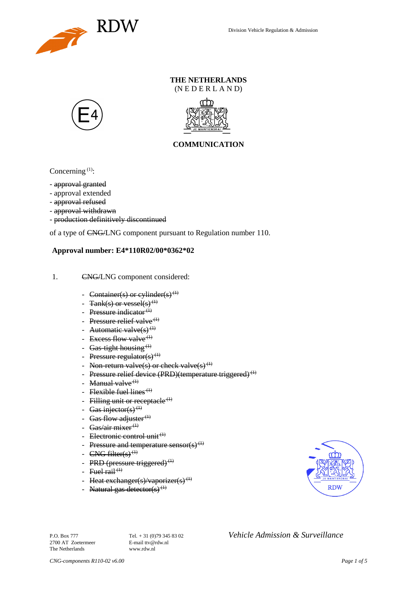

### **THE NETHERLANDS** (N E D E R L A N D)





## **COMMUNICATION**

Concerning  $(1)$ :

- approval granted
- approval extended
- approval refused
- approval withdrawn
- production definitively discontinued

of a type of CNG/LNG component pursuant to Regulation number 110.

### **Approval number: E4\*110R02/00\*0362\*02**

- 1. CNG/LNG component considered:
	- Container(s) or cylinder(s)<sup>(1)</sup>
	- Tank(s) or vessel(s)<sup>(1)</sup>
	- Pressure indicator $(1)$
	- Pressure relief valve<sup> $(1)$ </sup>
	- Automatic valve $(s)$ <sup>(1)</sup>
	- Excess flow valve<sup> $(1)$ </sup>
	- Gas-tight housing<sup> $(1)$ </sup>
	- Pressure regulator(s)<sup>(1)</sup>
	- Non-return valve(s) or check valve(s)<sup>(1)</sup>
	- Pressure relief device (PRD)(temperature triggered)<sup>(1)</sup>
	- Manual valve $<sup>(1)</sup>$ </sup>
	- Flexible fuel lines<sup> $(1)$ </sup>
	- Filling unit or receptacle  $(1)$
	- Gas injector(s)<sup>(1)</sup>
	- Gas flow adjuster $^{(1)}$
	- Gas/air mixer<sup>(1)</sup>
	- Electronic control unit<sup>(1)</sup>
	- Pressure and temperature sensor(s)<sup>(1)</sup>
	- $CNG$  filter(s)<sup>(1)</sup>
	- PRD (pressure triggered) $<sup>(1)</sup>$ </sup>
	- Fuel rail<sup> $(1)$ </sup>
	- Heat exchanger(s)/vaporizer(s)<sup>(1)</sup>
	- Natural gas detector(s)<sup>(1)</sup>



2700 AT Zoetermeer The Netherlands www.rdw.nl

P.O. Box 777<br> **P.O. Box 777** Tel. + 31 (0)79 345 83 02 *Vehicle Admission & Surveillance*<br>
F-mail tty@rdw.nl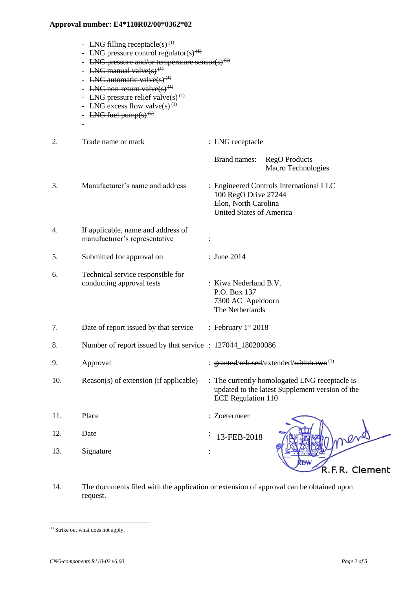- LNG filling receptacle(s)<sup>(1)</sup>
- LNG pressure control regulator(s)<sup>(1)</sup>
- LNG pressure and/or temperature sensor(s)<sup> $(1)$ </sup>
- LNG manual valve $(s)$ <sup>(1)</sup>
- LNG automatic valve $(s)$ <sup>(1)</sup>
- LNG non-return valve $(s)$ <sup>(1)</sup>
- LNG pressure relief valve $(s)$ <sup>(1)</sup>
- LNG excess flow valve(s)<sup>(1)</sup>
- LNG fuel pump $(s)$ <sup> $(1)$ </sup>

-

- 2. Trade name or mark : LNG receptacle Brand names: RegO Products Macro Technologies 3. Manufacturer's name and address : Engineered Controls International LLC 100 RegO Drive 27244 Elon, North Carolina United States of America 4. If applicable, name and address of manufacturer's representative : 5. Submitted for approval on : June 2014 6. Technical service responsible for conducting approval tests : Kiwa Nederland B.V. P.O. Box 137 7300 AC Apeldoorn The Netherlands 7. Date of report issued by that service : February  $1<sup>st</sup> 2018$ 8. Number of report issued by that service : 127044\_180200086 9. Approval : granted/refused/extended/withdrawn<sup>(1)</sup> 10. Reason(s) of extension (if applicable) : The currently homologated LNG receptacle is updated to the latest Supplement version of the ECE Regulation 110 11. Place : Zoetermeer
- 12. Date : 13-FEB-201813. Signature : R.F.R. Clement
- 14. The documents filed with the application or extension of approval can be obtained upon request.

l

<sup>(1)</sup> Strike out what does not apply.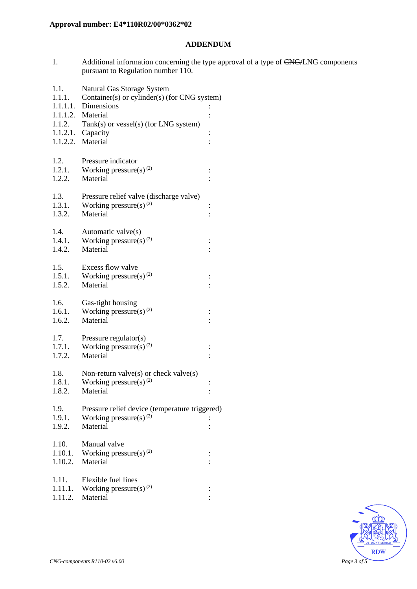### **ADDENDUM**

1. Additional information concerning the type approval of a type of CNG/LNG components pursuant to Regulation number 110.

| 1.1.<br>1.1.1.   | Natural Gas Storage System<br>Container(s) or cylinder(s) (for CNG system) |                |  |
|------------------|----------------------------------------------------------------------------|----------------|--|
| 1.1.1.1.         | Dimensions                                                                 |                |  |
|                  | 1.1.1.2. Material                                                          |                |  |
| 1.1.2.           | Tank(s) or vessel(s) (for LNG system)                                      |                |  |
|                  | $1.1.2.1.$ Capacity                                                        | $\vdots$       |  |
|                  | 1.1.2.2. Material                                                          |                |  |
|                  |                                                                            |                |  |
| 1.2.             | Pressure indicator                                                         |                |  |
| 1.2.1.           | Working pressure(s) $(2)$                                                  | $\vdots$       |  |
| 1.2.2.           | Material                                                                   |                |  |
| 1.3.             |                                                                            |                |  |
| 1.3.1.           | Pressure relief valve (discharge valve)<br>Working pressure(s) $^{(2)}$    |                |  |
| 1.3.2.           | Material                                                                   | $\vdots$       |  |
|                  |                                                                            |                |  |
| 1.4.             | Automatic valve(s)                                                         |                |  |
| 1.4.1.           | Working pressure(s) <sup>(2)</sup>                                         |                |  |
| 1.4.2.           | Material                                                                   |                |  |
|                  |                                                                            |                |  |
| 1.5.             | Excess flow valve                                                          |                |  |
| 1.5.1.           | Working pressure(s) $(2)$                                                  | $\vdots$       |  |
| 1.5.2.           | Material                                                                   |                |  |
| 1.6.             | Gas-tight housing                                                          |                |  |
| 1.6.1.           | Working pressure(s) $(2)$                                                  |                |  |
| 1.6.2.           | Material                                                                   |                |  |
|                  |                                                                            |                |  |
| 1.7.             | Pressure regulator(s)                                                      |                |  |
| 1.7.1.           | Working pressure(s) $^{(2)}$                                               | $\vdots$       |  |
| 1.7.2.           | Material                                                                   |                |  |
|                  |                                                                            |                |  |
| 1.8.             | Non-return valve $(s)$ or check valve $(s)$                                |                |  |
| 1.8.1.           | Working pressure(s) $^{(2)}$<br>Material                                   | $\vdots$       |  |
| 1.8.2.           |                                                                            | $\vdots$       |  |
| 1.9.             | Pressure relief device (temperature triggered)                             |                |  |
| 1.9.1.           | Working pressure(s) $(2)$                                                  |                |  |
| 1.9.2.           | Material                                                                   |                |  |
|                  |                                                                            |                |  |
| 1.10.            | Manual valve                                                               |                |  |
| 1.10.1.          | Working pressure(s) $^{(2)}$                                               | $\ddot{\cdot}$ |  |
| 1.10.2.          | Material                                                                   |                |  |
|                  |                                                                            |                |  |
| 1.11.<br>1.11.1. | Flexible fuel lines<br>Working pressure(s) $(2)$                           |                |  |
| 1.11.2.          | Material                                                                   |                |  |
|                  |                                                                            |                |  |

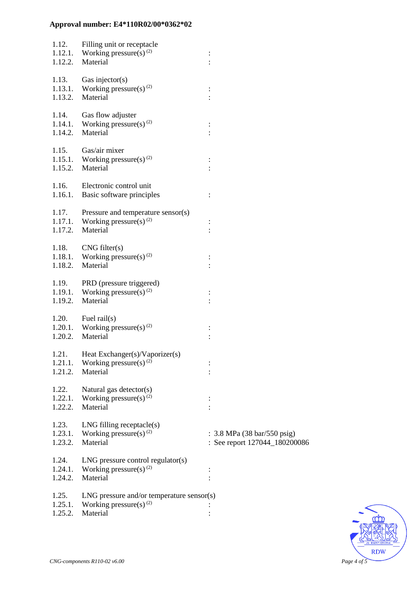| 1.12.<br>1.12.2.            | Filling unit or receptacle<br>1.12.1. Working pressure(s) <sup>(2)</sup><br>Material          |                                                                                        |
|-----------------------------|-----------------------------------------------------------------------------------------------|----------------------------------------------------------------------------------------|
| 1.13.<br>1.13.2.            | Gas injector( $s$ )<br>1.13.1. Working pressure(s) <sup>(2)</sup><br>Material                 |                                                                                        |
| 1.14.                       | Gas flow adjuster<br>1.14.1. Working pressure(s) <sup>(2)</sup><br>1.14.2. Material           | $\vdots$                                                                               |
| 1.15.<br>1.15.2.            | Gas/air mixer<br>1.15.1. Working pressure(s) $^{(2)}$<br>Material                             |                                                                                        |
| 1.16.                       | Electronic control unit<br>1.16.1. Basic software principles                                  |                                                                                        |
| 1.17.<br>1.17.2.            | Pressure and temperature sensor(s)<br>1.17.1. Working pressure(s) <sup>(2)</sup><br>Material  |                                                                                        |
| 1.18.<br>1.18.2.            | CNG filter(s)<br>1.18.1. Working pressure(s) $^{(2)}$<br>Material                             |                                                                                        |
| 1.19.<br>1.19.1.<br>1.19.2. | PRD (pressure triggered)<br>Working pressure(s) <sup>(2)</sup><br>Material                    |                                                                                        |
| 1.20.<br>1.20.1.<br>1.20.2. | Fuel rail $(s)$<br>Working pressure(s) <sup>(2)</sup><br>Material                             |                                                                                        |
| 1.21.<br>1.21.1.<br>1.21.2. | Heat Exchanger(s)/Vaporizer(s)<br>Working pressure(s) $(2)$<br>Material                       |                                                                                        |
| 1.22.<br>1.22.1.<br>1.22.2. | Natural gas detector(s)<br>Working pressure(s) <sup>(2)</sup><br>Material                     |                                                                                        |
| 1.23.<br>1.23.1.<br>1.23.2. | $LNG$ filling receptacle $(s)$<br>Working pressure(s) $^{(2)}$<br>Material                    | : $3.8 \text{ MPa} (38 \text{ bar}/550 \text{ psig})$<br>: See report 127044_180200086 |
| 1.24.<br>1.24.1.<br>1.24.2. | $LNG$ pressure control regulator(s)<br>Working pressure(s) $(2)$<br>Material                  |                                                                                        |
| 1.25.<br>1.25.1.<br>1.25.2. | $LNG$ pressure and/or temperature sensor(s)<br>Working pressure(s) <sup>(2)</sup><br>Material |                                                                                        |